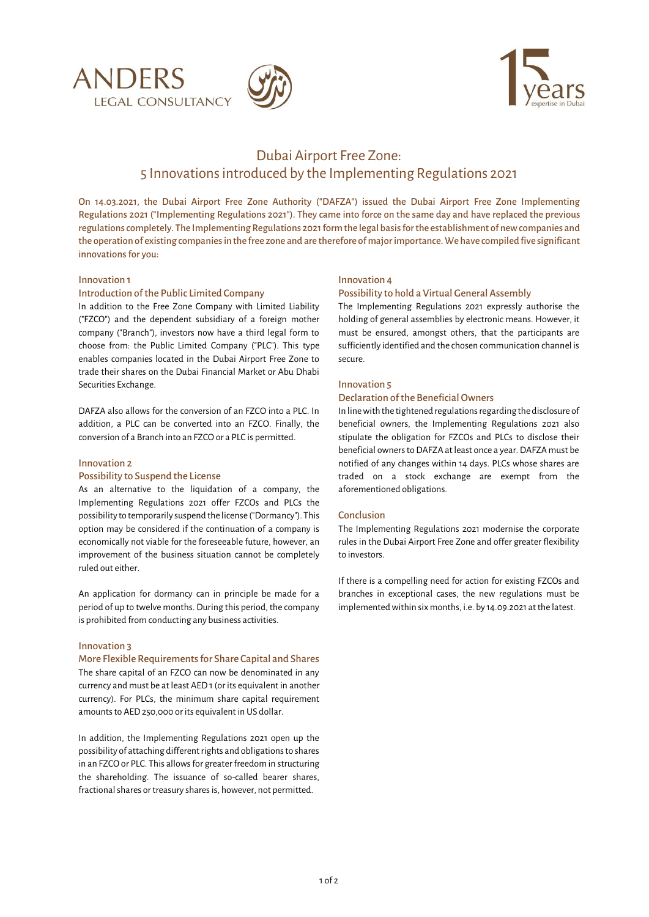





# Dubai Airport Free Zone: 5 Innovations introduced by the Implementing Regulations 2021

On 14.03.2021, the Dubai Airport Free Zone Authority ("DAFZA") issued the Dubai Airport Free Zone Implementing Regulations 2021 ("Implementing Regulations 2021"). They came into force on the same day and have replaced the previous regulationscompletely. The Implementing Regulations 2021 form the legal basis for the establishment of new companies and the operation of existing companies in the free zone and are therefore of major importance. We have compiled five significant innovations for you:

## Innovation 1

#### Introduction of the Public Limited Company

In addition to the Free Zone Company with Limited Liability ("FZCO") and the dependent subsidiary of a foreign mother company ("Branch"), investors now have a third legal form to choose from: the Public Limited Company ("PLC"). This type enables companies located in the Dubai Airport Free Zone to trade their shares on the Dubai Financial Market or Abu Dhabi Securities Exchange.

DAFZA also allows for the conversion of an FZCO into a PLC. In addition, a PLC can be converted into an FZCO. Finally, the conversion of a Branch into an FZCO or a PLC is permitted.

#### Innovation 2

## Possibility to Suspend the License

As an alternative to the liquidation of a company, the Implementing Regulations 2021 offer FZCOs and PLCs the possibility to temporarily suspend the license ("Dormancy"). This option may be considered if the continuation of a company is economically not viable for the foreseeable future, however, an improvement of the business situation cannot be completely ruled out either.

An application for dormancy can in principle be made for a period of up to twelve months. During this period, the company is prohibited from conducting any business activities.

#### Innovation 3

#### More Flexible Requirements for Share Capital and Shares

The share capital of an FZCO can now be denominated in any currency and must be at least AED 1 (or its equivalent in another currency). For PLCs, the minimum share capital requirement amounts to AED250,000 or its equivalent in US dollar.

In addition, the Implementing Regulations 2021 open up the possibility of attaching different rights and obligations to shares in an FZCO or PLC. This allows for greater freedom in structuring the shareholding. The issuance of so-called bearer shares, fractional shares or treasury shares is, however, not permitted.

#### Innovation 4

#### Possibility to hold a Virtual General Assembly

The Implementing Regulations 2021 expressly authorise the holding of general assemblies by electronic means. However, it must be ensured, amongst others, that the participants are sufficiently identified and the chosen communication channel is secure.

# Innovation 5

## Declaration of the Beneficial Owners

In line with the tightened regulations regarding the disclosure of beneficial owners, the Implementing Regulations 2021 also stipulate the obligation for FZCOs and PLCs to disclose their beneficial owners to DAFZA at least once a year. DAFZA must be notified of any changes within 14 days. PLCs whose shares are traded on a stock exchange are exempt from the aforementioned obligations.

#### Conclusion

The Implementing Regulations 2021 modernise the corporate rules in the Dubai Airport Free Zone and offer greater flexibility to investors.

If there is a compelling need for action for existing FZCOs and branches in exceptional cases, the new regulations must be implemented within six months, i.e. by 14.09.2021 at the latest.